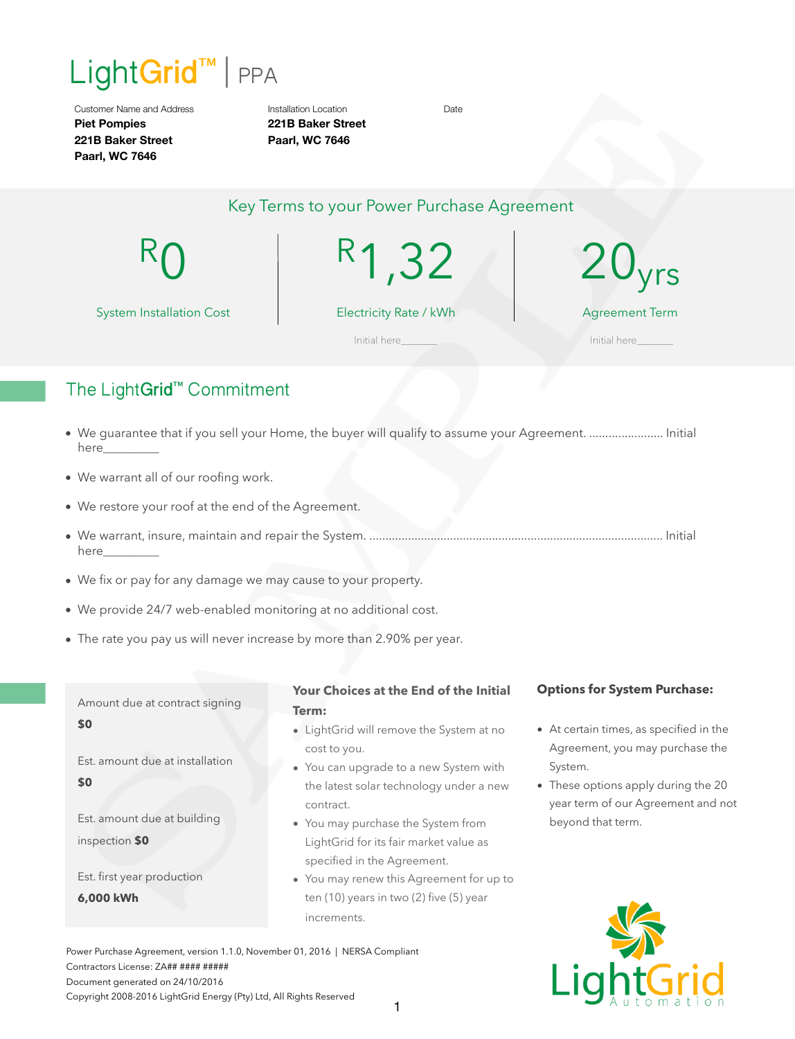

Customer Name and Address **Piet Pompies 221B Baker Street Paarl, WC 7646**

Installation Location **221B Baker Street Paarl, WC 7646**

Date

# Key Terms to your Power Purchase Agreement

R<sub>0</sub>

R1,32

System Installation Cost

Electricity Rate / kWh

 $\mathsf{U}_{\mathsf{V} \mathsf{r} \mathsf{S}}$ 

Agreement Term

Initial here **Initial here** 

# The Light**Grid**™ Commitment

- We guarantee that if you sell your Home, the buyer will qualify to assume your Agreement. ....................... Initial here\_
- We warrant all of our roofing work.
- We restore your roof at the end of the Agreement.
- We warrant, insure, maintain and repair the System. ........................................................................................... Initial here\_\_\_\_\_\_\_\_\_
- We fix or pay for any damage we may cause to your property.
- We provide 24/7 web-enabled monitoring at no additional cost.
- The rate you pay us will never increase by more than 2.90% per year.

Amount due at contract signing **\$0** 

Est. amount due at installation

**\$0** 

Est. amount due at building inspection **\$0**

Est. first year production

**6,000 kWh**

# **Your Choices at the End of the Initial Term:**

- LightGrid will remove the System at no cost to you.
- You can upgrade to a new System with the latest solar technology under a new contract.
- You may purchase the System from LightGrid for its fair market value as specified in the Agreement.
- You may renew this Agreement for up to ten (10) years in two (2) five (5) year increments.

Power Purchase Agreement, version 1.1.0, November 01, 2016 | NERSA Compliant Contractors License: ZA## #### ##### Document generated on 24/10/2016 Copyright 2008-2016 LightGrid Energy (Pty) Ltd, All Rights Reserved

# **Options for System Purchase:**

- At certain times, as specified in the Agreement, you may purchase the System.
- These options apply during the 20 year term of our Agreement and not beyond that term.

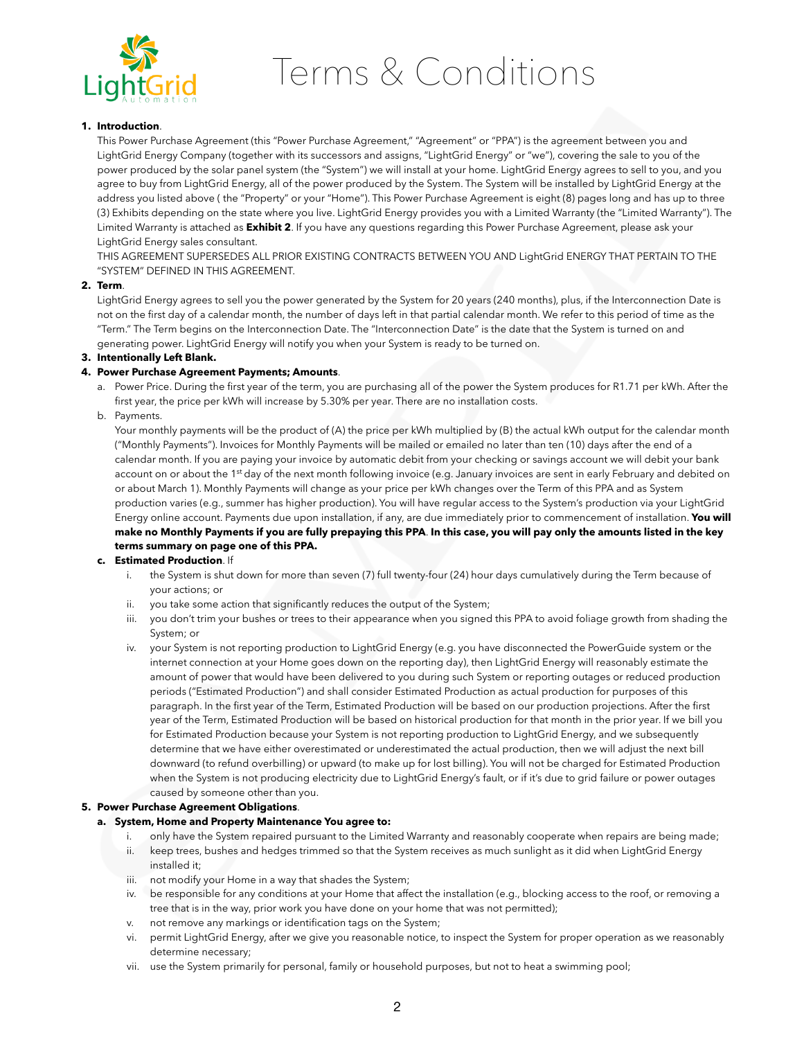

# Terms & Conditions

# **1. Introduction**.

This Power Purchase Agreement (this "Power Purchase Agreement," "Agreement" or "PPA") is the agreement between you and LightGrid Energy Company (together with its successors and assigns, "LightGrid Energy" or "we"), covering the sale to you of the power produced by the solar panel system (the "System") we will install at your home. LightGrid Energy agrees to sell to you, and you agree to buy from LightGrid Energy, all of the power produced by the System. The System will be installed by LightGrid Energy at the address you listed above ( the "Property" or your "Home"). This Power Purchase Agreement is eight (8) pages long and has up to three (3) Exhibits depending on the state where you live. LightGrid Energy provides you with a Limited Warranty (the "Limited Warranty"). The Limited Warranty is attached as **Exhibit 2**. If you have any questions regarding this Power Purchase Agreement, please ask your LightGrid Energy sales consultant.

THIS AGREEMENT SUPERSEDES ALL PRIOR EXISTING CONTRACTS BETWEEN YOU AND LightGrid ENERGY THAT PERTAIN TO THE "SYSTEM" DEFINED IN THIS AGREEMENT.

# **2. Term**.

LightGrid Energy agrees to sell you the power generated by the System for 20 years (240 months), plus, if the Interconnection Date is not on the first day of a calendar month, the number of days left in that partial calendar month. We refer to this period of time as the "Term." The Term begins on the Interconnection Date. The "Interconnection Date" is the date that the System is turned on and generating power. LightGrid Energy will notify you when your System is ready to be turned on.

# **3. Intentionally Left Blank.**

# **4. Power Purchase Agreement Payments; Amounts**.

- a. Power Price. During the first year of the term, you are purchasing all of the power the System produces for R1.71 per kWh. After the first year, the price per kWh will increase by 5.30% per year. There are no installation costs.
- b. Payments.

Your monthly payments will be the product of (A) the price per kWh multiplied by (B) the actual kWh output for the calendar month ("Monthly Payments"). Invoices for Monthly Payments will be mailed or emailed no later than ten (10) days after the end of a calendar month. If you are paying your invoice by automatic debit from your checking or savings account we will debit your bank account on or about the 1<sup>st</sup> day of the next month following invoice (e.g. January invoices are sent in early February and debited on or about March 1). Monthly Payments will change as your price per kWh changes over the Term of this PPA and as System production varies (e.g., summer has higher production). You will have regular access to the System's production via your LightGrid Energy online account. Payments due upon installation, if any, are due immediately prior to commencement of installation. **You will make no Monthly Payments if you are fully prepaying this PPA**. **In this case, you will pay only the amounts listed in the key terms summary on page one of this PPA.**

#### **c. Estimated Production**. If

- i. the System is shut down for more than seven (7) full twenty-four (24) hour days cumulatively during the Term because of your actions; or
- ii. you take some action that significantly reduces the output of the System;
- iii. you don't trim your bushes or trees to their appearance when you signed this PPA to avoid foliage growth from shading the System; or
- iv. your System is not reporting production to LightGrid Energy (e.g. you have disconnected the PowerGuide system or the internet connection at your Home goes down on the reporting day), then LightGrid Energy will reasonably estimate the amount of power that would have been delivered to you during such System or reporting outages or reduced production periods ("Estimated Production") and shall consider Estimated Production as actual production for purposes of this paragraph. In the first year of the Term, Estimated Production will be based on our production projections. After the first year of the Term, Estimated Production will be based on historical production for that month in the prior year. If we bill you for Estimated Production because your System is not reporting production to LightGrid Energy, and we subsequently determine that we have either overestimated or underestimated the actual production, then we will adjust the next bill downward (to refund overbilling) or upward (to make up for lost billing). You will not be charged for Estimated Production when the System is not producing electricity due to LightGrid Energy's fault, or if it's due to grid failure or power outages caused by someone other than you.

#### **5. Power Purchase Agreement Obligations**.

#### **a. System, Home and Property Maintenance You agree to:**

- i. only have the System repaired pursuant to the Limited Warranty and reasonably cooperate when repairs are being made;
- ii. keep trees, bushes and hedges trimmed so that the System receives as much sunlight as it did when LightGrid Energy installed it;
- iii. not modify your Home in a way that shades the System;
- iv. be responsible for any conditions at your Home that affect the installation (e.g., blocking access to the roof, or removing a tree that is in the way, prior work you have done on your home that was not permitted);
- v. not remove any markings or identification tags on the System;
- vi. permit LightGrid Energy, after we give you reasonable notice, to inspect the System for proper operation as we reasonably determine necessary;
- vii. use the System primarily for personal, family or household purposes, but not to heat a swimming pool;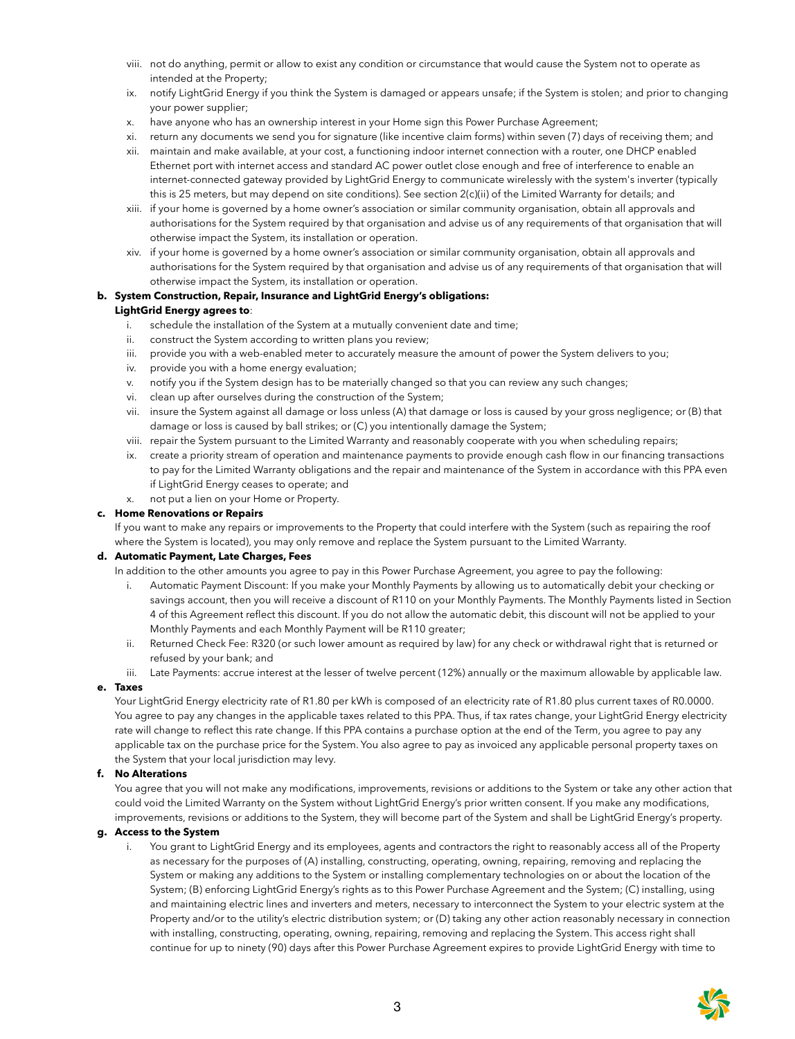- viii. not do anything, permit or allow to exist any condition or circumstance that would cause the System not to operate as intended at the Property;
- ix. notify LightGrid Energy if you think the System is damaged or appears unsafe; if the System is stolen; and prior to changing your power supplier;
- x. have anyone who has an ownership interest in your Home sign this Power Purchase Agreement;
- xi. return any documents we send you for signature (like incentive claim forms) within seven (7) days of receiving them; and
- xii. maintain and make available, at your cost, a functioning indoor internet connection with a router, one DHCP enabled Ethernet port with internet access and standard AC power outlet close enough and free of interference to enable an internet-connected gateway provided by LightGrid Energy to communicate wirelessly with the system's inverter (typically this is 25 meters, but may depend on site conditions). See section 2(c)(ii) of the Limited Warranty for details; and
- xiii. if your home is governed by a home owner's association or similar community organisation, obtain all approvals and authorisations for the System required by that organisation and advise us of any requirements of that organisation that will otherwise impact the System, its installation or operation.
- xiv. if your home is governed by a home owner's association or similar community organisation, obtain all approvals and authorisations for the System required by that organisation and advise us of any requirements of that organisation that will otherwise impact the System, its installation or operation.

#### **b. System Construction, Repair, Insurance and LightGrid Energy's obligations:**

#### **LightGrid Energy agrees to**:

- i. schedule the installation of the System at a mutually convenient date and time;
- ii. construct the System according to written plans you review;
- iii. provide you with a web-enabled meter to accurately measure the amount of power the System delivers to you;
- iv. provide you with a home energy evaluation;
- v. notify you if the System design has to be materially changed so that you can review any such changes;
- vi. clean up after ourselves during the construction of the System;
- vii. insure the System against all damage or loss unless (A) that damage or loss is caused by your gross negligence; or (B) that damage or loss is caused by ball strikes; or (C) you intentionally damage the System;
- viii. repair the System pursuant to the Limited Warranty and reasonably cooperate with you when scheduling repairs;
- ix. create a priority stream of operation and maintenance payments to provide enough cash flow in our financing transactions to pay for the Limited Warranty obligations and the repair and maintenance of the System in accordance with this PPA even if LightGrid Energy ceases to operate; and
- x. not put a lien on your Home or Property.

# **c. Home Renovations or Repairs**

If you want to make any repairs or improvements to the Property that could interfere with the System (such as repairing the roof where the System is located), you may only remove and replace the System pursuant to the Limited Warranty.

#### **d. Automatic Payment, Late Charges, Fees**

In addition to the other amounts you agree to pay in this Power Purchase Agreement, you agree to pay the following:

- i. Automatic Payment Discount: If you make your Monthly Payments by allowing us to automatically debit your checking or savings account, then you will receive a discount of R110 on your Monthly Payments. The Monthly Payments listed in Section 4 of this Agreement reflect this discount. If you do not allow the automatic debit, this discount will not be applied to your Monthly Payments and each Monthly Payment will be R110 greater;
- ii. Returned Check Fee: R320 (or such lower amount as required by law) for any check or withdrawal right that is returned or refused by your bank; and
- iii. Late Payments: accrue interest at the lesser of twelve percent (12%) annually or the maximum allowable by applicable law.

#### **e. Taxes**

Your LightGrid Energy electricity rate of R1.80 per kWh is composed of an electricity rate of R1.80 plus current taxes of R0.0000. You agree to pay any changes in the applicable taxes related to this PPA. Thus, if tax rates change, your LightGrid Energy electricity rate will change to reflect this rate change. If this PPA contains a purchase option at the end of the Term, you agree to pay any applicable tax on the purchase price for the System. You also agree to pay as invoiced any applicable personal property taxes on the System that your local jurisdiction may levy.

# **f. No Alterations**

You agree that you will not make any modifications, improvements, revisions or additions to the System or take any other action that could void the Limited Warranty on the System without LightGrid Energy's prior written consent. If you make any modifications, improvements, revisions or additions to the System, they will become part of the System and shall be LightGrid Energy's property.

#### **g. Access to the System**

i. You grant to LightGrid Energy and its employees, agents and contractors the right to reasonably access all of the Property as necessary for the purposes of (A) installing, constructing, operating, owning, repairing, removing and replacing the System or making any additions to the System or installing complementary technologies on or about the location of the System; (B) enforcing LightGrid Energy's rights as to this Power Purchase Agreement and the System; (C) installing, using and maintaining electric lines and inverters and meters, necessary to interconnect the System to your electric system at the Property and/or to the utility's electric distribution system; or (D) taking any other action reasonably necessary in connection with installing, constructing, operating, owning, repairing, removing and replacing the System. This access right shall continue for up to ninety (90) days after this Power Purchase Agreement expires to provide LightGrid Energy with time to

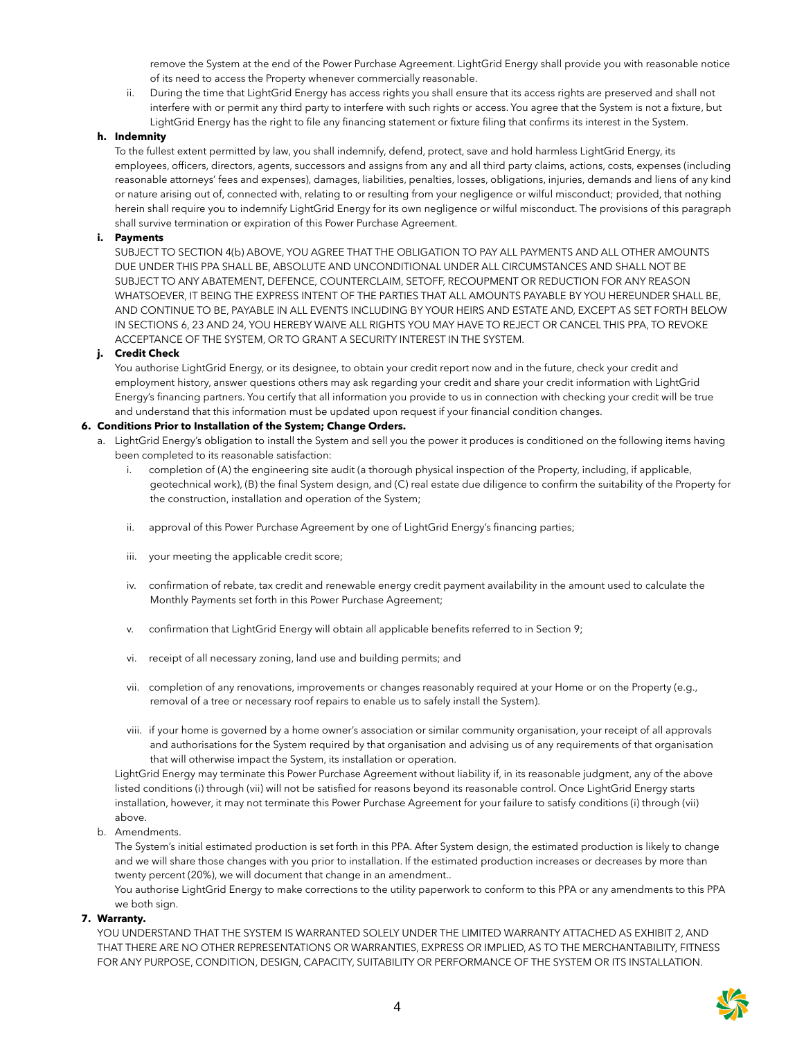remove the System at the end of the Power Purchase Agreement. LightGrid Energy shall provide you with reasonable notice of its need to access the Property whenever commercially reasonable.

ii. During the time that LightGrid Energy has access rights you shall ensure that its access rights are preserved and shall not interfere with or permit any third party to interfere with such rights or access. You agree that the System is not a fixture, but LightGrid Energy has the right to file any financing statement or fixture filing that confirms its interest in the System.

# **h. Indemnity**

To the fullest extent permitted by law, you shall indemnify, defend, protect, save and hold harmless LightGrid Energy, its employees, officers, directors, agents, successors and assigns from any and all third party claims, actions, costs, expenses (including reasonable attorneys' fees and expenses), damages, liabilities, penalties, losses, obligations, injuries, demands and liens of any kind or nature arising out of, connected with, relating to or resulting from your negligence or wilful misconduct; provided, that nothing herein shall require you to indemnify LightGrid Energy for its own negligence or wilful misconduct. The provisions of this paragraph shall survive termination or expiration of this Power Purchase Agreement.

#### **i. Payments**

SUBJECT TO SECTION 4(b) ABOVE, YOU AGREE THAT THE OBLIGATION TO PAY ALL PAYMENTS AND ALL OTHER AMOUNTS DUE UNDER THIS PPA SHALL BE, ABSOLUTE AND UNCONDITIONAL UNDER ALL CIRCUMSTANCES AND SHALL NOT BE SUBJECT TO ANY ABATEMENT, DEFENCE, COUNTERCLAIM, SETOFF, RECOUPMENT OR REDUCTION FOR ANY REASON WHATSOEVER, IT BEING THE EXPRESS INTENT OF THE PARTIES THAT ALL AMOUNTS PAYABLE BY YOU HEREUNDER SHALL BE, AND CONTINUE TO BE, PAYABLE IN ALL EVENTS INCLUDING BY YOUR HEIRS AND ESTATE AND, EXCEPT AS SET FORTH BELOW IN SECTIONS 6, 23 AND 24, YOU HEREBY WAIVE ALL RIGHTS YOU MAY HAVE TO REJECT OR CANCEL THIS PPA, TO REVOKE ACCEPTANCE OF THE SYSTEM, OR TO GRANT A SECURITY INTEREST IN THE SYSTEM.

# **j. Credit Check**

You authorise LightGrid Energy, or its designee, to obtain your credit report now and in the future, check your credit and employment history, answer questions others may ask regarding your credit and share your credit information with LightGrid Energy's financing partners. You certify that all information you provide to us in connection with checking your credit will be true and understand that this information must be updated upon request if your financial condition changes.

# **6. Conditions Prior to Installation of the System; Change Orders.**

- a. LightGrid Energy's obligation to install the System and sell you the power it produces is conditioned on the following items having been completed to its reasonable satisfaction:
	- i. completion of (A) the engineering site audit (a thorough physical inspection of the Property, including, if applicable, geotechnical work), (B) the final System design, and (C) real estate due diligence to confirm the suitability of the Property for the construction, installation and operation of the System;
	- ii. approval of this Power Purchase Agreement by one of LightGrid Energy's financing parties;
	- iii. your meeting the applicable credit score;
	- iv. confirmation of rebate, tax credit and renewable energy credit payment availability in the amount used to calculate the Monthly Payments set forth in this Power Purchase Agreement;
	- v. confirmation that LightGrid Energy will obtain all applicable benefits referred to in Section 9;
	- vi. receipt of all necessary zoning, land use and building permits; and
	- vii. completion of any renovations, improvements or changes reasonably required at your Home or on the Property (e.g., removal of a tree or necessary roof repairs to enable us to safely install the System).
	- viii. if your home is governed by a home owner's association or similar community organisation, your receipt of all approvals and authorisations for the System required by that organisation and advising us of any requirements of that organisation that will otherwise impact the System, its installation or operation.

LightGrid Energy may terminate this Power Purchase Agreement without liability if, in its reasonable judgment, any of the above listed conditions (i) through (vii) will not be satisfied for reasons beyond its reasonable control. Once LightGrid Energy starts installation, however, it may not terminate this Power Purchase Agreement for your failure to satisfy conditions (i) through (vii) above.

b. Amendments.

The System's initial estimated production is set forth in this PPA. After System design, the estimated production is likely to change and we will share those changes with you prior to installation. If the estimated production increases or decreases by more than twenty percent (20%), we will document that change in an amendment..

You authorise LightGrid Energy to make corrections to the utility paperwork to conform to this PPA or any amendments to this PPA we both sign.

#### **7. Warranty.**

YOU UNDERSTAND THAT THE SYSTEM IS WARRANTED SOLELY UNDER THE LIMITED WARRANTY ATTACHED AS EXHIBIT 2, AND THAT THERE ARE NO OTHER REPRESENTATIONS OR WARRANTIES, EXPRESS OR IMPLIED, AS TO THE MERCHANTABILITY, FITNESS FOR ANY PURPOSE, CONDITION, DESIGN, CAPACITY, SUITABILITY OR PERFORMANCE OF THE SYSTEM OR ITS INSTALLATION.

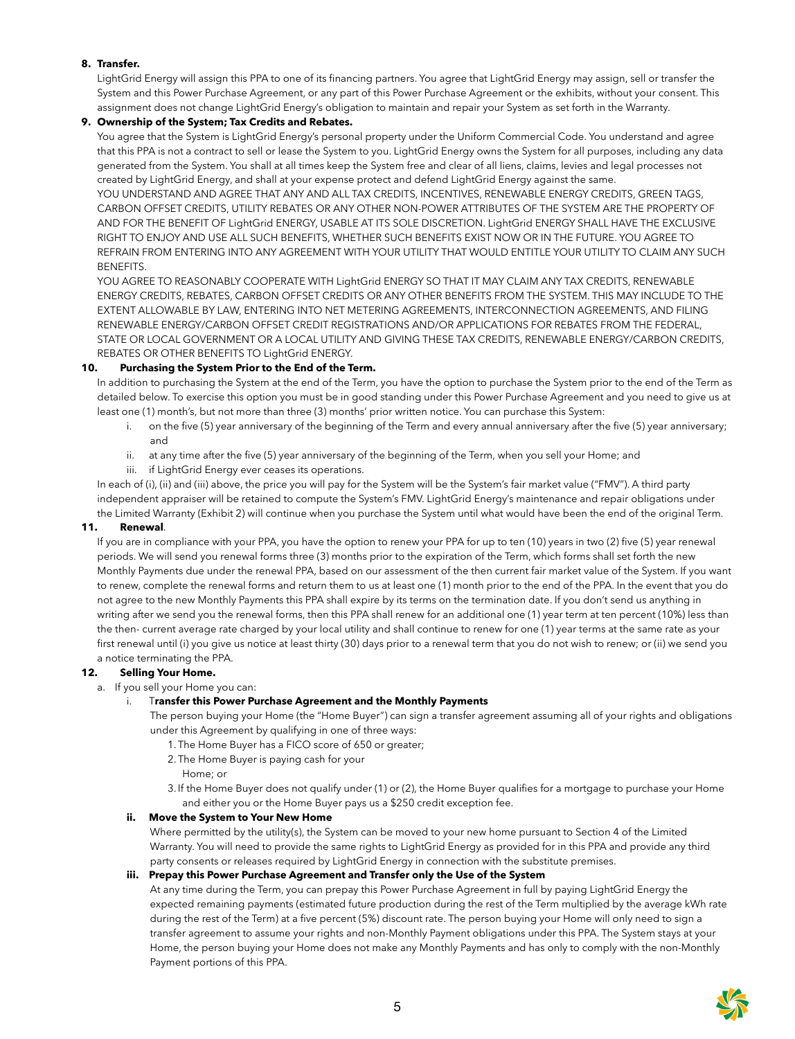# **8. Transfer.**

LightGrid Energy will assign this PPA to one of its financing partners. You agree that LightGrid Energy may assign, sell or transfer the System and this Power Purchase Agreement, or any part of this Power Purchase Agreement or the exhibits, without your consent. This assignment does not change LightGrid Energy's obligation to maintain and repair your System as set forth in the Warranty.

# **9. Ownership of the System; Tax Credits and Rebates.**

You agree that the System is LightGrid Energy's personal property under the Uniform Commercial Code. You understand and agree that this PPA is not a contract to sell or lease the System to you. LightGrid Energy owns the System for all purposes, including any data generated from the System. You shall at all times keep the System free and clear of all liens, claims, levies and legal processes not created by LightGrid Energy, and shall at your expense protect and defend LightGrid Energy against the same.

YOU UNDERSTAND AND AGREE THAT ANY AND ALL TAX CREDITS, INCENTIVES, RENEWABLE ENERGY CREDITS, GREEN TAGS, CARBON OFFSET CREDITS, UTILITY REBATES OR ANY OTHER NON-POWER ATTRIBUTES OF THE SYSTEM ARE THE PROPERTY OF AND FOR THE BENEFIT OF LightGrid ENERGY, USABLE AT ITS SOLE DISCRETION. LightGrid ENERGY SHALL HAVE THE EXCLUSIVE RIGHT TO ENJOY AND USE ALL SUCH BENEFITS, WHETHER SUCH BENEFITS EXIST NOW OR IN THE FUTURE. YOU AGREE TO REFRAIN FROM ENTERING INTO ANY AGREEMENT WITH YOUR UTILITY THAT WOULD ENTITLE YOUR UTILITY TO CLAIM ANY SUCH BENEFITS.

YOU AGREE TO REASONABLY COOPERATE WITH LightGrid ENERGY SO THAT IT MAY CLAIM ANY TAX CREDITS, RENEWABLE ENERGY CREDITS, REBATES, CARBON OFFSET CREDITS OR ANY OTHER BENEFITS FROM THE SYSTEM. THIS MAY INCLUDE TO THE EXTENT ALLOWABLE BY LAW, ENTERING INTO NET METERING AGREEMENTS, INTERCONNECTION AGREEMENTS, AND FILING RENEWABLE ENERGY/CARBON OFFSET CREDIT REGISTRATIONS AND/OR APPLICATIONS FOR REBATES FROM THE FEDERAL, STATE OR LOCAL GOVERNMENT OR A LOCAL UTILITY AND GIVING THESE TAX CREDITS, RENEWABLE ENERGY/CARBON CREDITS, REBATES OR OTHER BENEFITS TO LightGrid ENERGY.

# **10. Purchasing the System Prior to the End of the Term.**

In addition to purchasing the System at the end of the Term, you have the option to purchase the System prior to the end of the Term as detailed below. To exercise this option you must be in good standing under this Power Purchase Agreement and you need to give us at least one (1) month's, but not more than three (3) months' prior written notice. You can purchase this System:

- i. on the five (5) year anniversary of the beginning of the Term and every annual anniversary after the five (5) year anniversary; and
- ii. at any time after the five (5) year anniversary of the beginning of the Term, when you sell your Home; and
- iii. if LightGrid Energy ever ceases its operations.

In each of (i), (ii) and (iii) above, the price you will pay for the System will be the System's fair market value ("FMV"). A third party independent appraiser will be retained to compute the System's FMV. LightGrid Energy's maintenance and repair obligations under the Limited Warranty (Exhibit 2) will continue when you purchase the System until what would have been the end of the original Term.

# **11. Renewal**.

If you are in compliance with your PPA, you have the option to renew your PPA for up to ten (10) years in two (2) five (5) year renewal periods. We will send you renewal forms three (3) months prior to the expiration of the Term, which forms shall set forth the new Monthly Payments due under the renewal PPA, based on our assessment of the then current fair market value of the System. If you want to renew, complete the renewal forms and return them to us at least one (1) month prior to the end of the PPA. In the event that you do not agree to the new Monthly Payments this PPA shall expire by its terms on the termination date. If you don't send us anything in writing after we send you the renewal forms, then this PPA shall renew for an additional one (1) year term at ten percent (10%) less than the then- current average rate charged by your local utility and shall continue to renew for one (1) year terms at the same rate as your first renewal until (i) you give us notice at least thirty (30) days prior to a renewal term that you do not wish to renew; or (ii) we send you a notice terminating the PPA.

# **12. Selling Your Home.**

a. If you sell your Home you can:

# i. T**ransfer this Power Purchase Agreement and the Monthly Payments**

The person buying your Home (the "Home Buyer") can sign a transfer agreement assuming all of your rights and obligations under this Agreement by qualifying in one of three ways:

- 1. The Home Buyer has a FICO score of 650 or greater;
- 2. The Home Buyer is paying cash for your
- Home; or
- 3. If the Home Buyer does not qualify under (1) or (2), the Home Buyer qualifies for a mortgage to purchase your Home and either you or the Home Buyer pays us a \$250 credit exception fee.

# **ii. Move the System to Your New Home**

Where permitted by the utility(s), the System can be moved to your new home pursuant to Section 4 of the Limited Warranty. You will need to provide the same rights to LightGrid Energy as provided for in this PPA and provide any third party consents or releases required by LightGrid Energy in connection with the substitute premises.

# **iii. Prepay this Power Purchase Agreement and Transfer only the Use of the System**

At any time during the Term, you can prepay this Power Purchase Agreement in full by paying LightGrid Energy the expected remaining payments (estimated future production during the rest of the Term multiplied by the average kWh rate during the rest of the Term) at a five percent (5%) discount rate. The person buying your Home will only need to sign a transfer agreement to assume your rights and non-Monthly Payment obligations under this PPA. The System stays at your Home, the person buying your Home does not make any Monthly Payments and has only to comply with the non-Monthly Payment portions of this PPA.

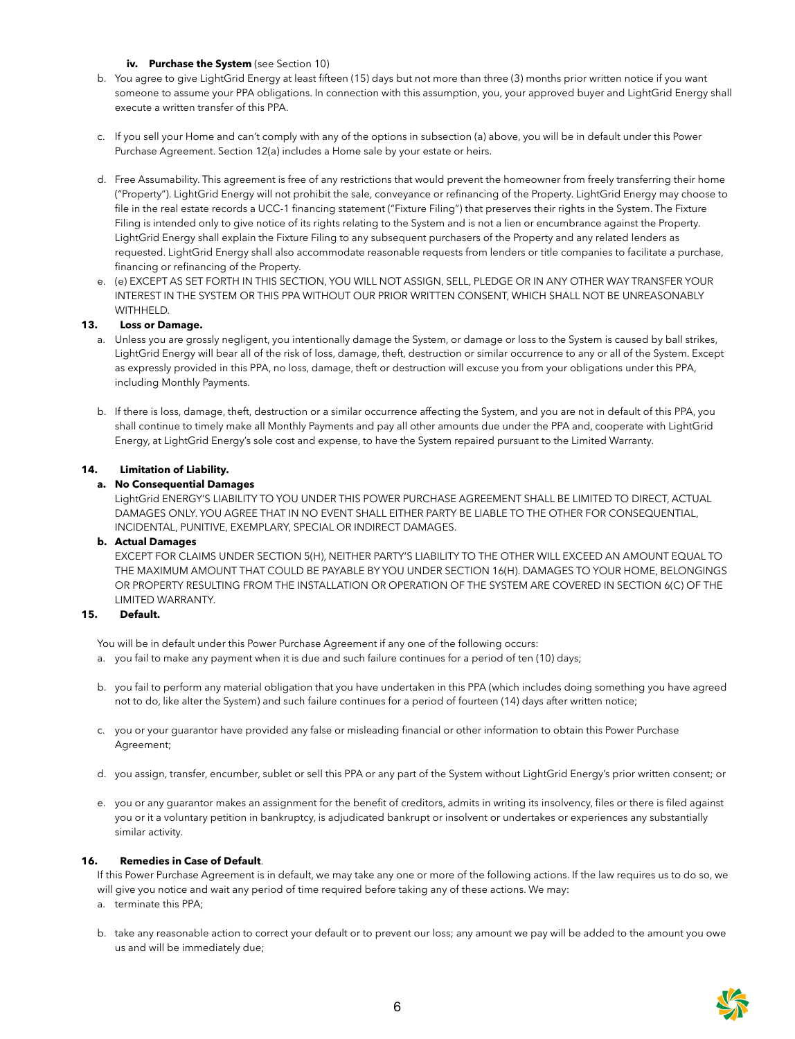# **iv.** Purchase the System (see Section 10)

- b. You agree to give LightGrid Energy at least fifteen (15) days but not more than three (3) months prior written notice if you want someone to assume your PPA obligations. In connection with this assumption, you, your approved buyer and LightGrid Energy shall execute a written transfer of this PPA.
- c. If you sell your Home and can't comply with any of the options in subsection (a) above, you will be in default under this Power Purchase Agreement. Section 12(a) includes a Home sale by your estate or heirs.
- d. Free Assumability. This agreement is free of any restrictions that would prevent the homeowner from freely transferring their home ("Property"). LightGrid Energy will not prohibit the sale, conveyance or refinancing of the Property. LightGrid Energy may choose to file in the real estate records a UCC-1 financing statement ("Fixture Filing") that preserves their rights in the System. The Fixture Filing is intended only to give notice of its rights relating to the System and is not a lien or encumbrance against the Property. LightGrid Energy shall explain the Fixture Filing to any subsequent purchasers of the Property and any related lenders as requested. LightGrid Energy shall also accommodate reasonable requests from lenders or title companies to facilitate a purchase, financing or refinancing of the Property.
- e. (e) EXCEPT AS SET FORTH IN THIS SECTION, YOU WILL NOT ASSIGN, SELL, PLEDGE OR IN ANY OTHER WAY TRANSFER YOUR INTEREST IN THE SYSTEM OR THIS PPA WITHOUT OUR PRIOR WRITTEN CONSENT, WHICH SHALL NOT BE UNREASONABLY WITHHELD.

# **13. Loss or Damage.**

- a. Unless you are grossly negligent, you intentionally damage the System, or damage or loss to the System is caused by ball strikes, LightGrid Energy will bear all of the risk of loss, damage, theft, destruction or similar occurrence to any or all of the System. Except as expressly provided in this PPA, no loss, damage, theft or destruction will excuse you from your obligations under this PPA, including Monthly Payments.
- b. If there is loss, damage, theft, destruction or a similar occurrence affecting the System, and you are not in default of this PPA, you shall continue to timely make all Monthly Payments and pay all other amounts due under the PPA and, cooperate with LightGrid Energy, at LightGrid Energy's sole cost and expense, to have the System repaired pursuant to the Limited Warranty.

# **14. Limitation of Liability.**

# **a. No Consequential Damages**

LightGrid ENERGY'S LIABILITY TO YOU UNDER THIS POWER PURCHASE AGREEMENT SHALL BE LIMITED TO DIRECT, ACTUAL DAMAGES ONLY. YOU AGREE THAT IN NO EVENT SHALL EITHER PARTY BE LIABLE TO THE OTHER FOR CONSEQUENTIAL, INCIDENTAL, PUNITIVE, EXEMPLARY, SPECIAL OR INDIRECT DAMAGES.

#### **b. Actual Damages**

EXCEPT FOR CLAIMS UNDER SECTION 5(H), NEITHER PARTY'S LIABILITY TO THE OTHER WILL EXCEED AN AMOUNT EQUAL TO THE MAXIMUM AMOUNT THAT COULD BE PAYABLE BY YOU UNDER SECTION 16(H). DAMAGES TO YOUR HOME, BELONGINGS OR PROPERTY RESULTING FROM THE INSTALLATION OR OPERATION OF THE SYSTEM ARE COVERED IN SECTION 6(C) OF THE LIMITED WARRANTY.

#### **15. Default.**

You will be in default under this Power Purchase Agreement if any one of the following occurs:

- a. you fail to make any payment when it is due and such failure continues for a period of ten (10) days;
- b. you fail to perform any material obligation that you have undertaken in this PPA (which includes doing something you have agreed not to do, like alter the System) and such failure continues for a period of fourteen (14) days after written notice;
- c. you or your guarantor have provided any false or misleading financial or other information to obtain this Power Purchase Agreement;
- d. you assign, transfer, encumber, sublet or sell this PPA or any part of the System without LightGrid Energy's prior written consent; or
- e. you or any guarantor makes an assignment for the benefit of creditors, admits in writing its insolvency, files or there is filed against you or it a voluntary petition in bankruptcy, is adjudicated bankrupt or insolvent or undertakes or experiences any substantially similar activity.

# **16. Remedies in Case of Default**.

If this Power Purchase Agreement is in default, we may take any one or more of the following actions. If the law requires us to do so, we will give you notice and wait any period of time required before taking any of these actions. We may:

- a. terminate this PPA;
- b. take any reasonable action to correct your default or to prevent our loss; any amount we pay will be added to the amount you owe us and will be immediately due;

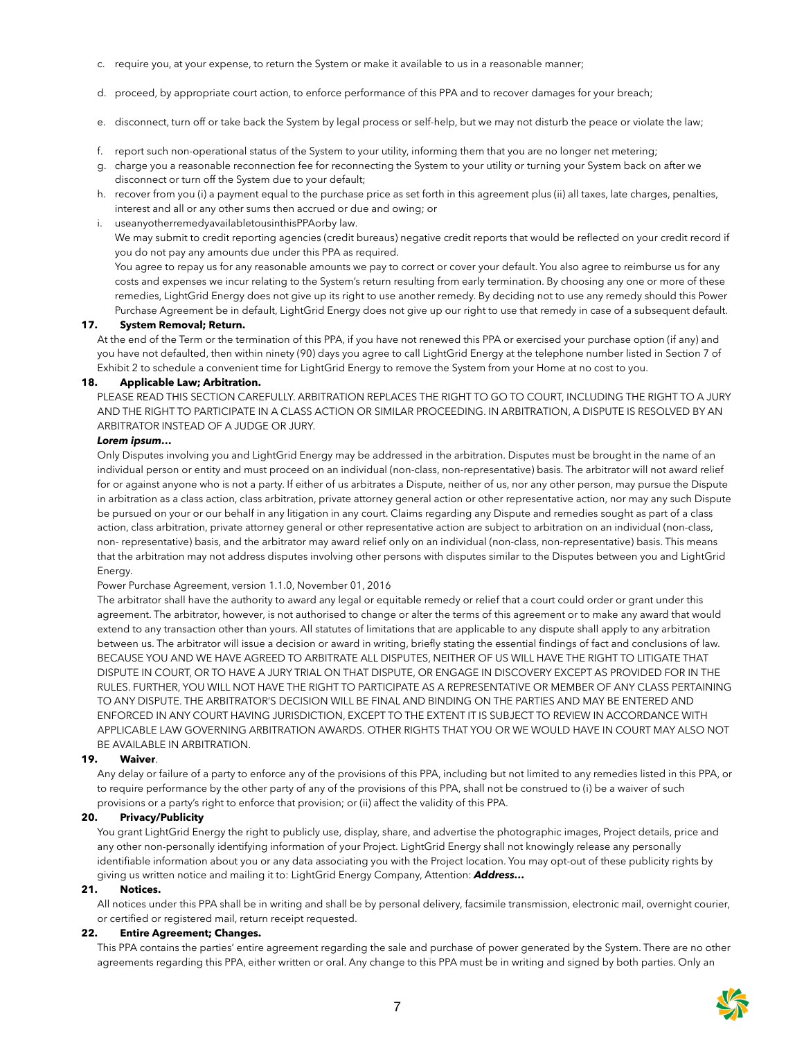- c. require you, at your expense, to return the System or make it available to us in a reasonable manner;
- d. proceed, by appropriate court action, to enforce performance of this PPA and to recover damages for your breach;
- e. disconnect, turn off or take back the System by legal process or self-help, but we may not disturb the peace or violate the law;
- f. report such non-operational status of the System to your utility, informing them that you are no longer net metering;
- g. charge you a reasonable reconnection fee for reconnecting the System to your utility or turning your System back on after we disconnect or turn off the System due to your default;
- h. recover from you (i) a payment equal to the purchase price as set forth in this agreement plus (ii) all taxes, late charges, penalties, interest and all or any other sums then accrued or due and owing; or

#### i. useanyotherremedyavailabletousinthisPPAorby law.

We may submit to credit reporting agencies (credit bureaus) negative credit reports that would be reflected on your credit record if you do not pay any amounts due under this PPA as required.

You agree to repay us for any reasonable amounts we pay to correct or cover your default. You also agree to reimburse us for any costs and expenses we incur relating to the System's return resulting from early termination. By choosing any one or more of these remedies, LightGrid Energy does not give up its right to use another remedy. By deciding not to use any remedy should this Power Purchase Agreement be in default, LightGrid Energy does not give up our right to use that remedy in case of a subsequent default.

#### **17. System Removal; Return.**

At the end of the Term or the termination of this PPA, if you have not renewed this PPA or exercised your purchase option (if any) and you have not defaulted, then within ninety (90) days you agree to call LightGrid Energy at the telephone number listed in Section 7 of Exhibit 2 to schedule a convenient time for LightGrid Energy to remove the System from your Home at no cost to you.

#### **18. Applicable Law; Arbitration.**

PLEASE READ THIS SECTION CAREFULLY. ARBITRATION REPLACES THE RIGHT TO GO TO COURT, INCLUDING THE RIGHT TO A JURY AND THE RIGHT TO PARTICIPATE IN A CLASS ACTION OR SIMILAR PROCEEDING. IN ARBITRATION, A DISPUTE IS RESOLVED BY AN ARBITRATOR INSTEAD OF A JUDGE OR JURY.

#### *Lorem ipsum…*

Only Disputes involving you and LightGrid Energy may be addressed in the arbitration. Disputes must be brought in the name of an individual person or entity and must proceed on an individual (non-class, non-representative) basis. The arbitrator will not award relief for or against anyone who is not a party. If either of us arbitrates a Dispute, neither of us, nor any other person, may pursue the Dispute in arbitration as a class action, class arbitration, private attorney general action or other representative action, nor may any such Dispute be pursued on your or our behalf in any litigation in any court. Claims regarding any Dispute and remedies sought as part of a class action, class arbitration, private attorney general or other representative action are subject to arbitration on an individual (non-class, non- representative) basis, and the arbitrator may award relief only on an individual (non-class, non-representative) basis. This means that the arbitration may not address disputes involving other persons with disputes similar to the Disputes between you and LightGrid Energy.

#### Power Purchase Agreement, version 1.1.0, November 01, 2016

The arbitrator shall have the authority to award any legal or equitable remedy or relief that a court could order or grant under this agreement. The arbitrator, however, is not authorised to change or alter the terms of this agreement or to make any award that would extend to any transaction other than yours. All statutes of limitations that are applicable to any dispute shall apply to any arbitration between us. The arbitrator will issue a decision or award in writing, briefly stating the essential findings of fact and conclusions of law. BECAUSE YOU AND WE HAVE AGREED TO ARBITRATE ALL DISPUTES, NEITHER OF US WILL HAVE THE RIGHT TO LITIGATE THAT DISPUTE IN COURT, OR TO HAVE A JURY TRIAL ON THAT DISPUTE, OR ENGAGE IN DISCOVERY EXCEPT AS PROVIDED FOR IN THE RULES. FURTHER, YOU WILL NOT HAVE THE RIGHT TO PARTICIPATE AS A REPRESENTATIVE OR MEMBER OF ANY CLASS PERTAINING TO ANY DISPUTE. THE ARBITRATOR'S DECISION WILL BE FINAL AND BINDING ON THE PARTIES AND MAY BE ENTERED AND ENFORCED IN ANY COURT HAVING JURISDICTION, EXCEPT TO THE EXTENT IT IS SUBJECT TO REVIEW IN ACCORDANCE WITH APPLICABLE LAW GOVERNING ARBITRATION AWARDS. OTHER RIGHTS THAT YOU OR WE WOULD HAVE IN COURT MAY ALSO NOT BE AVAILABLE IN ARBITRATION.

#### **19. Waiver**.

Any delay or failure of a party to enforce any of the provisions of this PPA, including but not limited to any remedies listed in this PPA, or to require performance by the other party of any of the provisions of this PPA, shall not be construed to (i) be a waiver of such provisions or a party's right to enforce that provision; or (ii) affect the validity of this PPA.

# **20. Privacy/Publicity**

You grant LightGrid Energy the right to publicly use, display, share, and advertise the photographic images, Project details, price and any other non-personally identifying information of your Project. LightGrid Energy shall not knowingly release any personally identifiable information about you or any data associating you with the Project location. You may opt-out of these publicity rights by giving us written notice and mailing it to: LightGrid Energy Company, Attention: *Address…*

#### **21. Notices.**

All notices under this PPA shall be in writing and shall be by personal delivery, facsimile transmission, electronic mail, overnight courier, or certified or registered mail, return receipt requested.

#### **22. Entire Agreement; Changes.**

This PPA contains the parties' entire agreement regarding the sale and purchase of power generated by the System. There are no other agreements regarding this PPA, either written or oral. Any change to this PPA must be in writing and signed by both parties. Only an